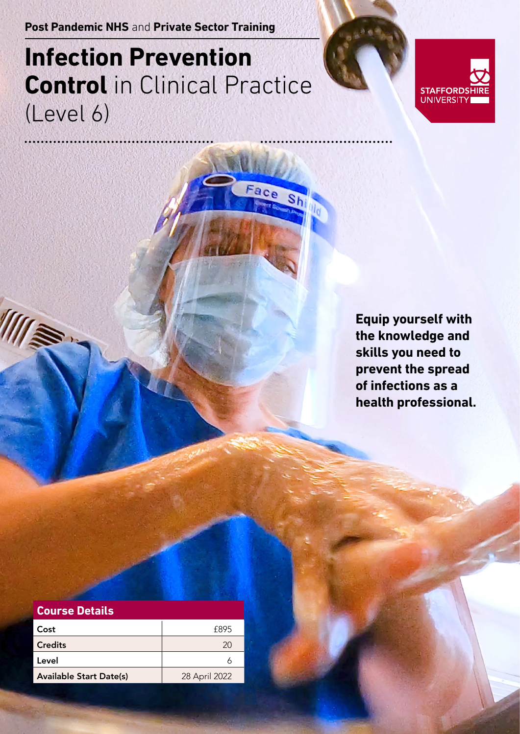**Post Pandemic NHS** and **Private Sector Training**

## **Infection Prevention Control** in Clinical Practice (Level 6)



**Equip yourself with the knowledge and skills you need to prevent the spread of infections as a health professional.**

| <b>Course Details</b>          |               |
|--------------------------------|---------------|
| Cost                           | f895          |
| <b>Credits</b>                 | 20            |
| Level                          |               |
| <b>Available Start Date(s)</b> | 28 April 2022 |